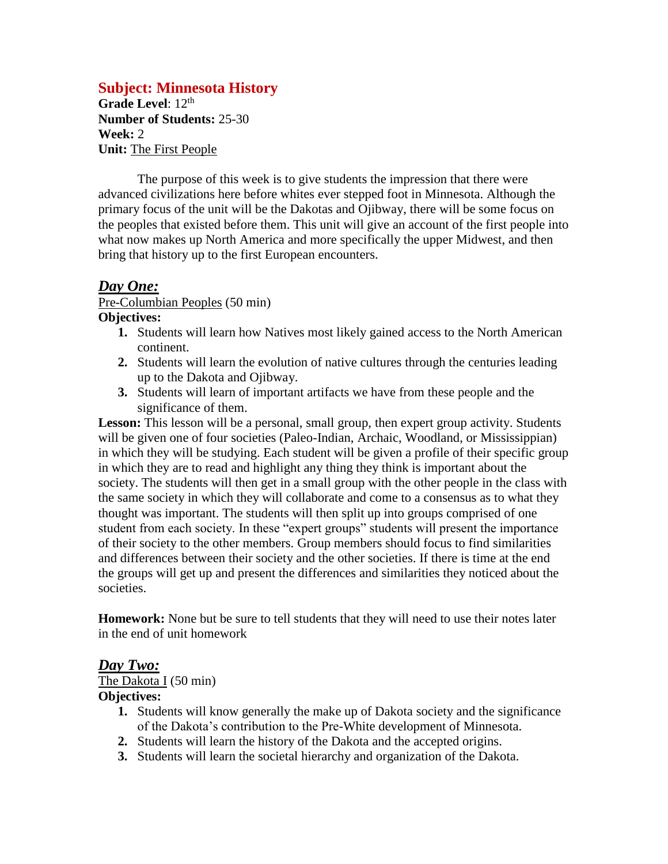## **Subject: Minnesota History**

Grade Level: 12<sup>th</sup> **Number of Students:** 25-30 **Week:** 2 **Unit:** The First People

The purpose of this week is to give students the impression that there were advanced civilizations here before whites ever stepped foot in Minnesota. Although the primary focus of the unit will be the Dakotas and Ojibway, there will be some focus on the peoples that existed before them. This unit will give an account of the first people into what now makes up North America and more specifically the upper Midwest, and then bring that history up to the first European encounters.

## *Day One:*

Pre-Columbian Peoples (50 min)

#### **Objectives:**

- **1.** Students will learn how Natives most likely gained access to the North American continent.
- **2.** Students will learn the evolution of native cultures through the centuries leading up to the Dakota and Ojibway.
- **3.** Students will learn of important artifacts we have from these people and the significance of them.

Lesson: This lesson will be a personal, small group, then expert group activity. Students will be given one of four societies (Paleo-Indian, Archaic, Woodland, or Mississippian) in which they will be studying. Each student will be given a profile of their specific group in which they are to read and highlight any thing they think is important about the society. The students will then get in a small group with the other people in the class with the same society in which they will collaborate and come to a consensus as to what they thought was important. The students will then split up into groups comprised of one student from each society. In these "expert groups" students will present the importance of their society to the other members. Group members should focus to find similarities and differences between their society and the other societies. If there is time at the end the groups will get up and present the differences and similarities they noticed about the societies.

**Homework:** None but be sure to tell students that they will need to use their notes later in the end of unit homework

#### *Day Two:*

The Dakota I (50 min)

#### **Objectives:**

- **1.** Students will know generally the make up of Dakota society and the significance of the Dakota's contribution to the Pre-White development of Minnesota.
- **2.** Students will learn the history of the Dakota and the accepted origins.
- **3.** Students will learn the societal hierarchy and organization of the Dakota.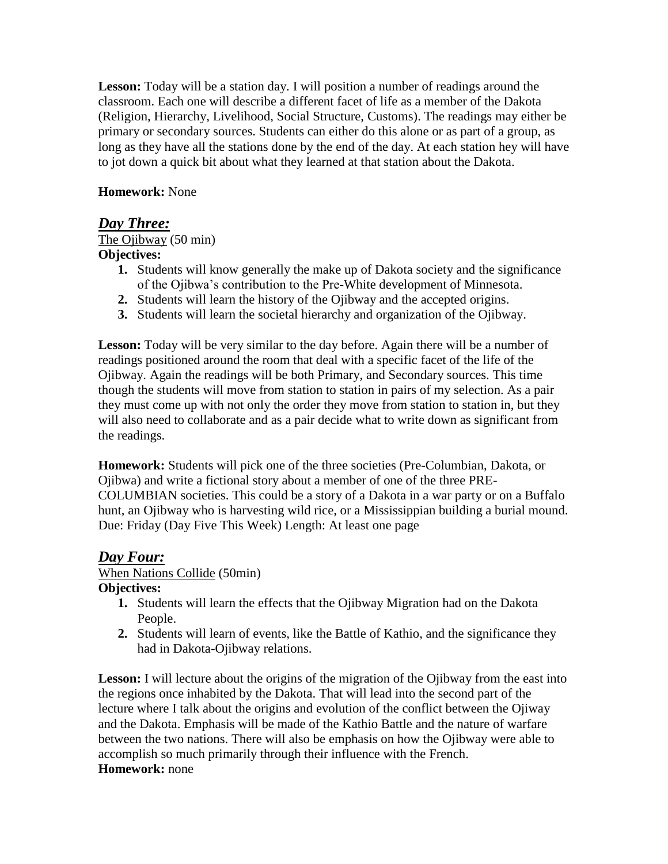**Lesson:** Today will be a station day. I will position a number of readings around the classroom. Each one will describe a different facet of life as a member of the Dakota (Religion, Hierarchy, Livelihood, Social Structure, Customs). The readings may either be primary or secondary sources. Students can either do this alone or as part of a group, as long as they have all the stations done by the end of the day. At each station hey will have to jot down a quick bit about what they learned at that station about the Dakota.

#### **Homework:** None

## *Day Three:*

#### The Ojibway (50 min)

## **Objectives:**

- **1.** Students will know generally the make up of Dakota society and the significance of the Ojibwa's contribution to the Pre-White development of Minnesota.
- **2.** Students will learn the history of the Ojibway and the accepted origins.
- **3.** Students will learn the societal hierarchy and organization of the Ojibway.

**Lesson:** Today will be very similar to the day before. Again there will be a number of readings positioned around the room that deal with a specific facet of the life of the Ojibway. Again the readings will be both Primary, and Secondary sources. This time though the students will move from station to station in pairs of my selection. As a pair they must come up with not only the order they move from station to station in, but they will also need to collaborate and as a pair decide what to write down as significant from the readings.

**Homework:** Students will pick one of the three societies (Pre-Columbian, Dakota, or Ojibwa) and write a fictional story about a member of one of the three PRE-COLUMBIAN societies. This could be a story of a Dakota in a war party or on a Buffalo hunt, an Ojibway who is harvesting wild rice, or a Mississippian building a burial mound. Due: Friday (Day Five This Week) Length: At least one page

# *Day Four:*

#### When Nations Collide (50min)

#### **Objectives:**

- **1.** Students will learn the effects that the Ojibway Migration had on the Dakota People.
- **2.** Students will learn of events, like the Battle of Kathio, and the significance they had in Dakota-Ojibway relations.

Lesson: I will lecture about the origins of the migration of the Ojibway from the east into the regions once inhabited by the Dakota. That will lead into the second part of the lecture where I talk about the origins and evolution of the conflict between the Ojiway and the Dakota. Emphasis will be made of the Kathio Battle and the nature of warfare between the two nations. There will also be emphasis on how the Ojibway were able to accomplish so much primarily through their influence with the French. **Homework:** none